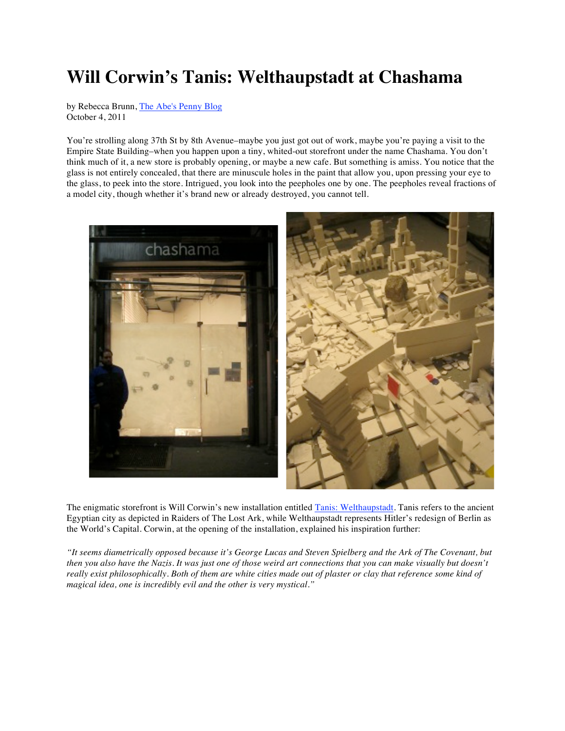## **Will Corwin's Tanis: Welthaupstadt at Chashama**

by Rebecca Brunn, The Abe's Penny Blog October 4, 2011

You're strolling along 37th St by 8th Avenue–maybe you just got out of work, maybe you're paying a visit to the Empire State Building–when you happen upon a tiny, whited-out storefront under the name Chashama. You don't think much of it, a new store is probably opening, or maybe a new cafe. But something is amiss. You notice that the glass is not entirely concealed, that there are minuscule holes in the paint that allow you, upon pressing your eye to the glass, to peek into the store. Intrigued, you look into the peepholes one by one. The peepholes reveal fractions of a model city, though whether it's brand new or already destroyed, you cannot tell.



The enigmatic storefront is Will Corwin's new installation entitled Tanis: Welthaupstadt. Tanis refers to the ancient Egyptian city as depicted in Raiders of The Lost Ark, while Welthaupstadt represents Hitler's redesign of Berlin as the World's Capital. Corwin, at the opening of the installation, explained his inspiration further:

*"It seems diametrically opposed because it's George Lucas and Steven Spielberg and the Ark of The Covenant, but then you also have the Nazis. It was just one of those weird art connections that you can make visually but doesn't really exist philosophically. Both of them are white cities made out of plaster or clay that reference some kind of magical idea, one is incredibly evil and the other is very mystical."*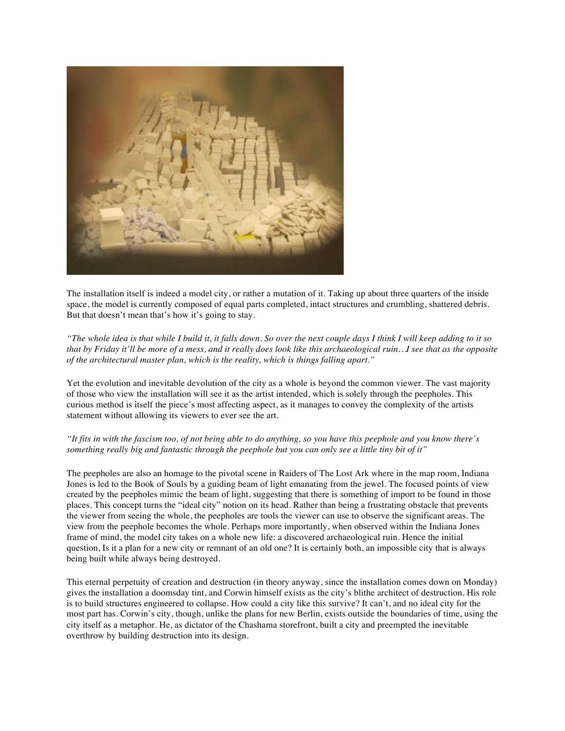

The installation itself is indeed a model city, or rather a mutation of it. Taking up about three quarters of the inside space, the model is currently composed of equal parts completed, intact structures and crumbling, shattered debris. But that doesn't mean that's how it's going to stay.

*"The whole idea is that while I build it, it falls down. So over the next couple days I think I will keep adding to it so that by Friday it'll be more of a mess, and it really does look like this archaeological ruin…I see that as the opposite of the architectural master plan, which is the reality, which is things falling apart."*

Yet the evolution and inevitable devolution of the city as a whole is beyond the common viewer. The vast majority of those who view the installation will see it as the artist intended, which is solely through the peepholes. This curious method is itself the piece's most affecting aspect, as it manages to convey the complexity of the artists statement without allowing its viewers to ever see the art.

## *"It fits in with the fascism too, of not being able to do anything, so you have this peephole and you know there's something really big and fantastic through the peephole but you can only see a little tiny bit of it"*

The peepholes are also an homage to the pivotal scene in Raiders of The Lost Ark where in the map room, Indiana Jones is led to the Book of Souls by a guiding beam of light emanating from the jewel. The focused points of view created by the peepholes mimic the beam of light, suggesting that there is something of import to be found in those places. This concept turns the "ideal city" notion on its head. Rather than being a frustrating obstacle that prevents the viewer from seeing the whole, the peepholes are tools the viewer can use to observe the significant areas. The view from the peephole becomes the whole. Perhaps more importantly, when observed within the Indiana Jones frame of mind, the model city takes on a whole new life: a discovered archaeological ruin. Hence the initial question, Is it a plan for a new city or remnant of an old one? It is certainly both, an impossible city that is always being built while always being destroyed.

This eternal perpetuity of creation and destruction (in theory anyway, since the installation comes down on Monday) gives the installation a doomsday tint, and Corwin himself exists as the city's blithe architect of destruction. His role is to build structures engineered to collapse. How could a city like this survive? It can't, and no ideal city for the most part has. Corwin's city, though, unlike the plans for new Berlin, exists outside the boundaries of time, using the city itself as a metaphor. He, as dictator of the Chashama storefront, built a city and preempted the inevitable overthrow by building destruction into its design.